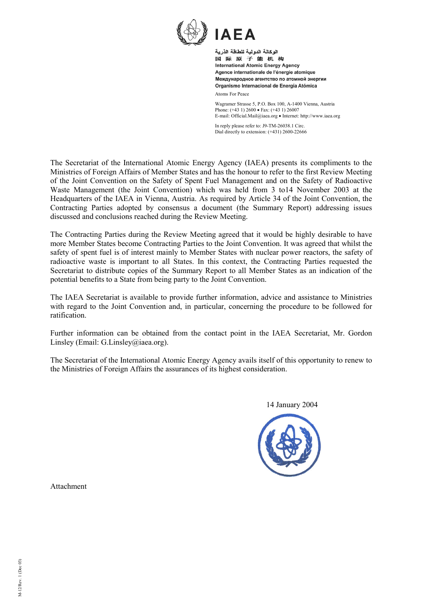

" ◥▙◢ الوكالة الدولية للطاقة الذرية 国际原子能机构 **International Atomic Energy Agency** Agence internationale de l'énergie atomique Международное агентство по атомной энергии

Organismo Internacional de Energía Atómica

Atoms For Peace

Wagramer Strasse 5, P.O. Box 100, A-1400 Vienna, Austria Phone: (+43 1) 2600 • Fax: (+43 1) 26007 E-mail: Official.Mail@iaea.org • Internet: http://www.iaea.org

In reply please refer to: J9-TM-26038.1 Circ. Dial directly to extension: (+431) 2600-22666

The Secretariat of the International Atomic Energy Agency (IAEA) presents its compliments to the Ministries of Foreign Affairs of Member States and has the honour to refer to the first Review Meeting of the Joint Convention on the Safety of Spent Fuel Management and on the Safety of Radioactive Waste Management (the Joint Convention) which was held from 3 to14 November 2003 at the Headquarters of the IAEA in Vienna, Austria. As required by Article 34 of the Joint Convention, the Contracting Parties adopted by consensus a document (the Summary Report) addressing issues discussed and conclusions reached during the Review Meeting.

The Contracting Parties during the Review Meeting agreed that it would be highly desirable to have more Member States become Contracting Parties to the Joint Convention. It was agreed that whilst the safety of spent fuel is of interest mainly to Member States with nuclear power reactors, the safety of radioactive waste is important to all States. In this context, the Contracting Parties requested the Secretariat to distribute copies of the Summary Report to all Member States as an indication of the potential benefits to a State from being party to the Joint Convention.

The IAEA Secretariat is available to provide further information, advice and assistance to Ministries with regard to the Joint Convention and, in particular, concerning the procedure to be followed for ratification.

Further information can be obtained from the contact point in the IAEA Secretariat, Mr. Gordon Linsley (Email: G.Linsley@iaea.org).

The Secretariat of the International Atomic Energy Agency avails itself of this opportunity to renew to the Ministries of Foreign Affairs the assurances of its highest consideration.

14 January 2004



Attachment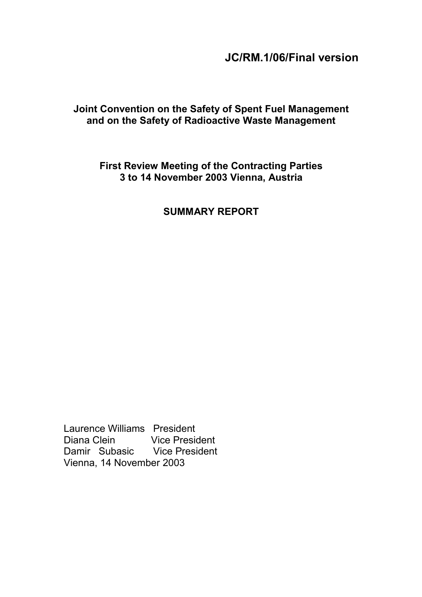# **JC/RM.1/06/Final version**

# **Joint Convention on the Safety of Spent Fuel Management and on the Safety of Radioactive Waste Management**

# **First Review Meeting of the Contracting Parties 3 to 14 November 2003 Vienna, Austria**

# **SUMMARY REPORT**

Laurence Williams President Diana Clein Vice President Damir Subasic Vice President Vienna, 14 November 2003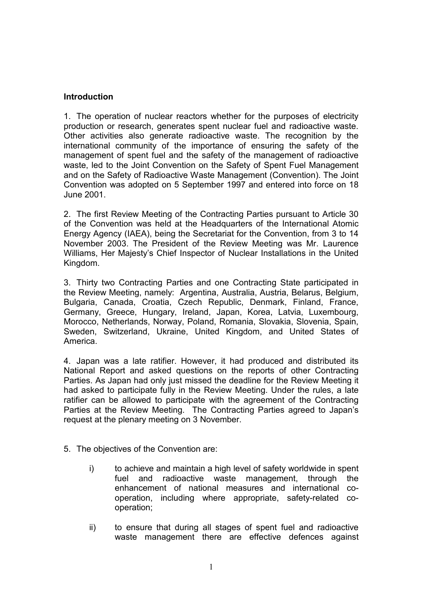### **Introduction**

1. The operation of nuclear reactors whether for the purposes of electricity production or research, generates spent nuclear fuel and radioactive waste. Other activities also generate radioactive waste. The recognition by the international community of the importance of ensuring the safety of the management of spent fuel and the safety of the management of radioactive waste, led to the Joint Convention on the Safety of Spent Fuel Management and on the Safety of Radioactive Waste Management (Convention). The Joint Convention was adopted on 5 September 1997 and entered into force on 18 June 2001.

2. The first Review Meeting of the Contracting Parties pursuant to Article 30 of the Convention was held at the Headquarters of the International Atomic Energy Agency (IAEA), being the Secretariat for the Convention, from 3 to 14 November 2003. The President of the Review Meeting was Mr. Laurence Williams, Her Majesty's Chief Inspector of Nuclear Installations in the United Kingdom.

3. Thirty two Contracting Parties and one Contracting State participated in the Review Meeting, namely: Argentina, Australia, Austria, Belarus, Belgium, Bulgaria, Canada, Croatia, Czech Republic, Denmark, Finland, France, Germany, Greece, Hungary, Ireland, Japan, Korea, Latvia, Luxembourg, Morocco, Netherlands, Norway, Poland, Romania, Slovakia, Slovenia, Spain, Sweden, Switzerland, Ukraine, United Kingdom, and United States of America.

4. Japan was a late ratifier. However, it had produced and distributed its National Report and asked questions on the reports of other Contracting Parties. As Japan had only just missed the deadline for the Review Meeting it had asked to participate fully in the Review Meeting. Under the rules, a late ratifier can be allowed to participate with the agreement of the Contracting Parties at the Review Meeting. The Contracting Parties agreed to Japan's request at the plenary meeting on 3 November.

- 5. The objectives of the Convention are:
	- i) to achieve and maintain a high level of safety worldwide in spent fuel and radioactive waste management, through the enhancement of national measures and international cooperation, including where appropriate, safety-related cooperation;
	- ii) to ensure that during all stages of spent fuel and radioactive waste management there are effective defences against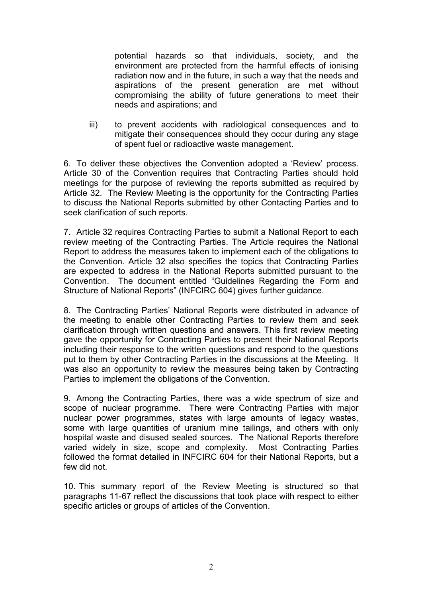potential hazards so that individuals, society, and the environment are protected from the harmful effects of ionising radiation now and in the future, in such a way that the needs and aspirations of the present generation are met without compromising the ability of future generations to meet their needs and aspirations; and

iii) to prevent accidents with radiological consequences and to mitigate their consequences should they occur during any stage of spent fuel or radioactive waste management.

6. To deliver these objectives the Convention adopted a 'Review' process. Article 30 of the Convention requires that Contracting Parties should hold meetings for the purpose of reviewing the reports submitted as required by Article 32. The Review Meeting is the opportunity for the Contracting Parties to discuss the National Reports submitted by other Contacting Parties and to seek clarification of such reports.

7. Article 32 requires Contracting Parties to submit a National Report to each review meeting of the Contracting Parties. The Article requires the National Report to address the measures taken to implement each of the obligations to the Convention. Article 32 also specifies the topics that Contracting Parties are expected to address in the National Reports submitted pursuant to the Convention. The document entitled "Guidelines Regarding the Form and Structure of National Reports" (INFCIRC 604) gives further guidance.

8. The Contracting Parties' National Reports were distributed in advance of the meeting to enable other Contracting Parties to review them and seek clarification through written questions and answers. This first review meeting gave the opportunity for Contracting Parties to present their National Reports including their response to the written questions and respond to the questions put to them by other Contracting Parties in the discussions at the Meeting. It was also an opportunity to review the measures being taken by Contracting Parties to implement the obligations of the Convention.

9. Among the Contracting Parties, there was a wide spectrum of size and scope of nuclear programme. There were Contracting Parties with major nuclear power programmes, states with large amounts of legacy wastes, some with large quantities of uranium mine tailings, and others with only hospital waste and disused sealed sources. The National Reports therefore varied widely in size, scope and complexity. Most Contracting Parties followed the format detailed in INFCIRC 604 for their National Reports, but a few did not.

10. This summary report of the Review Meeting is structured so that paragraphs 11-67 reflect the discussions that took place with respect to either specific articles or groups of articles of the Convention.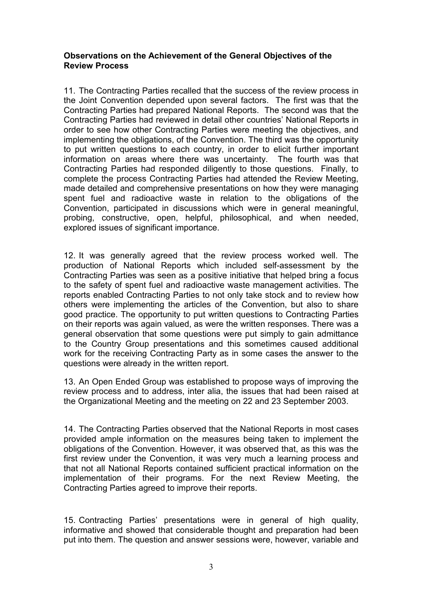#### **Observations on the Achievement of the General Objectives of the Review Process**

11. The Contracting Parties recalled that the success of the review process in the Joint Convention depended upon several factors. The first was that the Contracting Parties had prepared National Reports. The second was that the Contracting Parties had reviewed in detail other countries' National Reports in order to see how other Contracting Parties were meeting the objectives, and implementing the obligations, of the Convention. The third was the opportunity to put written questions to each country, in order to elicit further important information on areas where there was uncertainty. The fourth was that Contracting Parties had responded diligently to those questions. Finally, to complete the process Contracting Parties had attended the Review Meeting, made detailed and comprehensive presentations on how they were managing spent fuel and radioactive waste in relation to the obligations of the Convention, participated in discussions which were in general meaningful, probing, constructive, open, helpful, philosophical, and when needed, explored issues of significant importance.

12. It was generally agreed that the review process worked well. The production of National Reports which included self-assessment by the Contracting Parties was seen as a positive initiative that helped bring a focus to the safety of spent fuel and radioactive waste management activities. The reports enabled Contracting Parties to not only take stock and to review how others were implementing the articles of the Convention, but also to share good practice. The opportunity to put written questions to Contracting Parties on their reports was again valued, as were the written responses. There was a general observation that some questions were put simply to gain admittance to the Country Group presentations and this sometimes caused additional work for the receiving Contracting Party as in some cases the answer to the questions were already in the written report.

13. An Open Ended Group was established to propose ways of improving the review process and to address, inter alia, the issues that had been raised at the Organizational Meeting and the meeting on 22 and 23 September 2003.

14. The Contracting Parties observed that the National Reports in most cases provided ample information on the measures being taken to implement the obligations of the Convention. However, it was observed that, as this was the first review under the Convention, it was very much a learning process and that not all National Reports contained sufficient practical information on the implementation of their programs. For the next Review Meeting, the Contracting Parties agreed to improve their reports.

15. Contracting Parties' presentations were in general of high quality, informative and showed that considerable thought and preparation had been put into them. The question and answer sessions were, however, variable and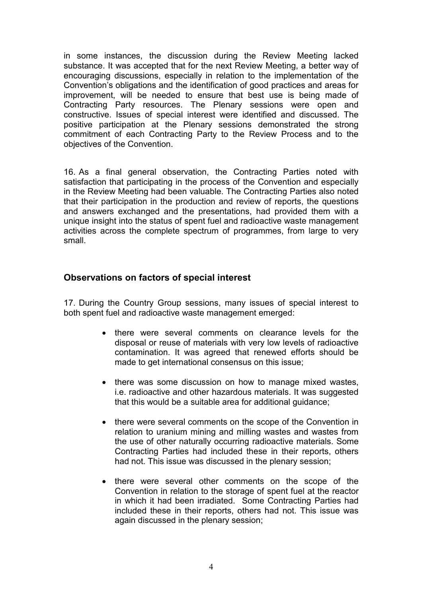in some instances, the discussion during the Review Meeting lacked substance. It was accepted that for the next Review Meeting, a better way of encouraging discussions, especially in relation to the implementation of the Convention's obligations and the identification of good practices and areas for improvement, will be needed to ensure that best use is being made of Contracting Party resources. The Plenary sessions were open and constructive. Issues of special interest were identified and discussed. The positive participation at the Plenary sessions demonstrated the strong commitment of each Contracting Party to the Review Process and to the objectives of the Convention.

16. As a final general observation, the Contracting Parties noted with satisfaction that participating in the process of the Convention and especially in the Review Meeting had been valuable. The Contracting Parties also noted that their participation in the production and review of reports, the questions and answers exchanged and the presentations, had provided them with a unique insight into the status of spent fuel and radioactive waste management activities across the complete spectrum of programmes, from large to very small.

## **Observations on factors of special interest**

17. During the Country Group sessions, many issues of special interest to both spent fuel and radioactive waste management emerged:

- there were several comments on clearance levels for the disposal or reuse of materials with very low levels of radioactive contamination. It was agreed that renewed efforts should be made to get international consensus on this issue;
- there was some discussion on how to manage mixed wastes, i.e. radioactive and other hazardous materials. It was suggested that this would be a suitable area for additional guidance;
- there were several comments on the scope of the Convention in relation to uranium mining and milling wastes and wastes from the use of other naturally occurring radioactive materials. Some Contracting Parties had included these in their reports, others had not. This issue was discussed in the plenary session;
- there were several other comments on the scope of the Convention in relation to the storage of spent fuel at the reactor in which it had been irradiated. Some Contracting Parties had included these in their reports, others had not. This issue was again discussed in the plenary session;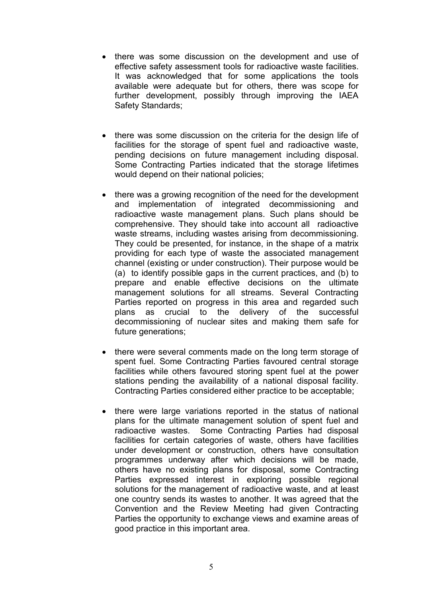- there was some discussion on the development and use of effective safety assessment tools for radioactive waste facilities. It was acknowledged that for some applications the tools available were adequate but for others, there was scope for further development, possibly through improving the IAEA Safety Standards;
- there was some discussion on the criteria for the design life of facilities for the storage of spent fuel and radioactive waste, pending decisions on future management including disposal. Some Contracting Parties indicated that the storage lifetimes would depend on their national policies;
- there was a growing recognition of the need for the development and implementation of integrated decommissioning and radioactive waste management plans. Such plans should be comprehensive. They should take into account all radioactive waste streams, including wastes arising from decommissioning. They could be presented, for instance, in the shape of a matrix providing for each type of waste the associated management channel (existing or under construction). Their purpose would be (a) to identify possible gaps in the current practices, and (b) to prepare and enable effective decisions on the ultimate management solutions for all streams. Several Contracting Parties reported on progress in this area and regarded such plans as crucial to the delivery of the successful decommissioning of nuclear sites and making them safe for future generations:
- there were several comments made on the long term storage of spent fuel. Some Contracting Parties favoured central storage facilities while others favoured storing spent fuel at the power stations pending the availability of a national disposal facility. Contracting Parties considered either practice to be acceptable;
- there were large variations reported in the status of national plans for the ultimate management solution of spent fuel and radioactive wastes. Some Contracting Parties had disposal facilities for certain categories of waste, others have facilities under development or construction, others have consultation programmes underway after which decisions will be made, others have no existing plans for disposal, some Contracting Parties expressed interest in exploring possible regional solutions for the management of radioactive waste, and at least one country sends its wastes to another. It was agreed that the Convention and the Review Meeting had given Contracting Parties the opportunity to exchange views and examine areas of good practice in this important area.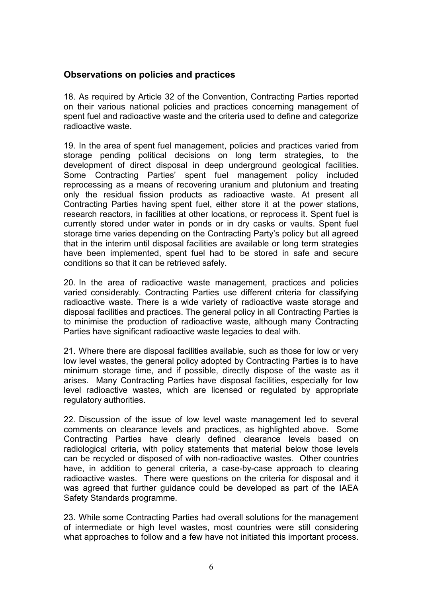# **Observations on policies and practices**

18. As required by Article 32 of the Convention, Contracting Parties reported on their various national policies and practices concerning management of spent fuel and radioactive waste and the criteria used to define and categorize radioactive waste.

19. In the area of spent fuel management, policies and practices varied from storage pending political decisions on long term strategies, to the development of direct disposal in deep underground geological facilities. Some Contracting Parties' spent fuel management policy included reprocessing as a means of recovering uranium and plutonium and treating only the residual fission products as radioactive waste. At present all Contracting Parties having spent fuel, either store it at the power stations, research reactors, in facilities at other locations, or reprocess it. Spent fuel is currently stored under water in ponds or in dry casks or vaults. Spent fuel storage time varies depending on the Contracting Party's policy but all agreed that in the interim until disposal facilities are available or long term strategies have been implemented, spent fuel had to be stored in safe and secure conditions so that it can be retrieved safely.

20. In the area of radioactive waste management, practices and policies varied considerably. Contracting Parties use different criteria for classifying radioactive waste. There is a wide variety of radioactive waste storage and disposal facilities and practices. The general policy in all Contracting Parties is to minimise the production of radioactive waste, although many Contracting Parties have significant radioactive waste legacies to deal with.

21. Where there are disposal facilities available, such as those for low or very low level wastes, the general policy adopted by Contracting Parties is to have minimum storage time, and if possible, directly dispose of the waste as it arises. Many Contracting Parties have disposal facilities, especially for low level radioactive wastes, which are licensed or regulated by appropriate regulatory authorities.

22. Discussion of the issue of low level waste management led to several comments on clearance levels and practices, as highlighted above. Some Contracting Parties have clearly defined clearance levels based on radiological criteria, with policy statements that material below those levels can be recycled or disposed of with non-radioactive wastes. Other countries have, in addition to general criteria, a case-by-case approach to clearing radioactive wastes. There were questions on the criteria for disposal and it was agreed that further guidance could be developed as part of the IAEA Safety Standards programme.

23. While some Contracting Parties had overall solutions for the management of intermediate or high level wastes, most countries were still considering what approaches to follow and a few have not initiated this important process.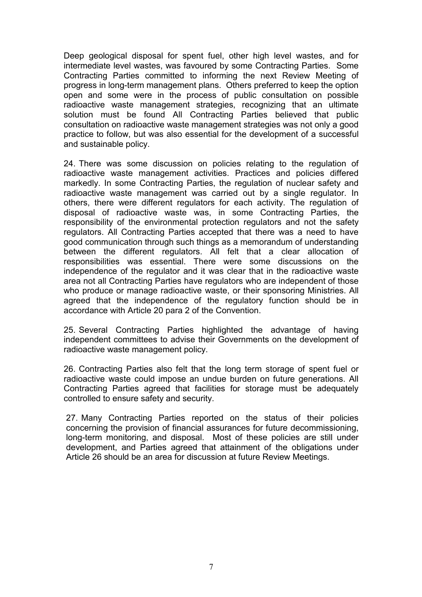Deep geological disposal for spent fuel, other high level wastes, and for intermediate level wastes, was favoured by some Contracting Parties. Some Contracting Parties committed to informing the next Review Meeting of progress in long-term management plans. Others preferred to keep the option open and some were in the process of public consultation on possible radioactive waste management strategies, recognizing that an ultimate solution must be found All Contracting Parties believed that public consultation on radioactive waste management strategies was not only a good practice to follow, but was also essential for the development of a successful and sustainable policy.

24. There was some discussion on policies relating to the regulation of radioactive waste management activities. Practices and policies differed markedly. In some Contracting Parties, the regulation of nuclear safety and radioactive waste management was carried out by a single regulator. In others, there were different regulators for each activity. The regulation of disposal of radioactive waste was, in some Contracting Parties, the responsibility of the environmental protection regulators and not the safety regulators. All Contracting Parties accepted that there was a need to have good communication through such things as a memorandum of understanding between the different regulators. All felt that a clear allocation of responsibilities was essential. There were some discussions on the independence of the regulator and it was clear that in the radioactive waste area not all Contracting Parties have regulators who are independent of those who produce or manage radioactive waste, or their sponsoring Ministries. All agreed that the independence of the regulatory function should be in accordance with Article 20 para 2 of the Convention.

25. Several Contracting Parties highlighted the advantage of having independent committees to advise their Governments on the development of radioactive waste management policy.

26. Contracting Parties also felt that the long term storage of spent fuel or radioactive waste could impose an undue burden on future generations. All Contracting Parties agreed that facilities for storage must be adequately controlled to ensure safety and security.

27. Many Contracting Parties reported on the status of their policies concerning the provision of financial assurances for future decommissioning, long-term monitoring, and disposal. Most of these policies are still under development, and Parties agreed that attainment of the obligations under Article 26 should be an area for discussion at future Review Meetings.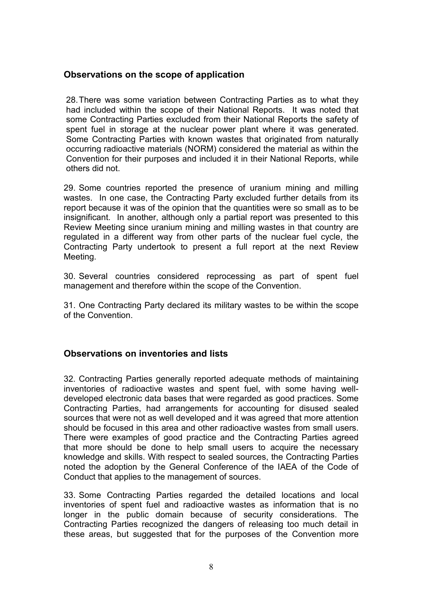# **Observations on the scope of application**

28. There was some variation between Contracting Parties as to what they had included within the scope of their National Reports. It was noted that some Contracting Parties excluded from their National Reports the safety of spent fuel in storage at the nuclear power plant where it was generated. Some Contracting Parties with known wastes that originated from naturally occurring radioactive materials (NORM) considered the material as within the Convention for their purposes and included it in their National Reports, while others did not.

29. Some countries reported the presence of uranium mining and milling wastes. In one case, the Contracting Party excluded further details from its report because it was of the opinion that the quantities were so small as to be insignificant. In another, although only a partial report was presented to this Review Meeting since uranium mining and milling wastes in that country are regulated in a different way from other parts of the nuclear fuel cycle, the Contracting Party undertook to present a full report at the next Review Meeting.

30. Several countries considered reprocessing as part of spent fuel management and therefore within the scope of the Convention.

31. One Contracting Party declared its military wastes to be within the scope of the Convention.

## **Observations on inventories and lists**

32. Contracting Parties generally reported adequate methods of maintaining inventories of radioactive wastes and spent fuel, with some having welldeveloped electronic data bases that were regarded as good practices. Some Contracting Parties, had arrangements for accounting for disused sealed sources that were not as well developed and it was agreed that more attention should be focused in this area and other radioactive wastes from small users. There were examples of good practice and the Contracting Parties agreed that more should be done to help small users to acquire the necessary knowledge and skills. With respect to sealed sources, the Contracting Parties noted the adoption by the General Conference of the IAEA of the Code of Conduct that applies to the management of sources.

33. Some Contracting Parties regarded the detailed locations and local inventories of spent fuel and radioactive wastes as information that is no longer in the public domain because of security considerations. The Contracting Parties recognized the dangers of releasing too much detail in these areas, but suggested that for the purposes of the Convention more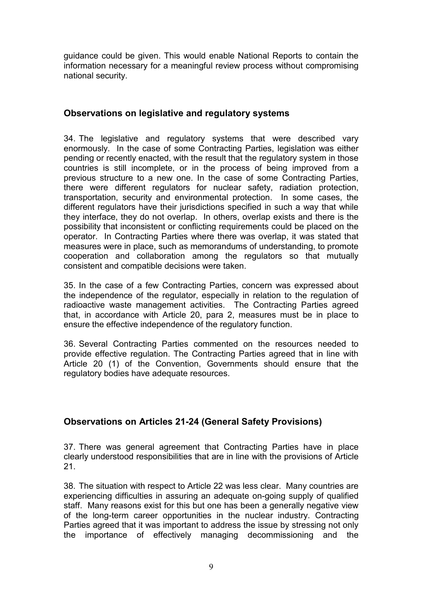guidance could be given. This would enable National Reports to contain the information necessary for a meaningful review process without compromising national security.

# **Observations on legislative and regulatory systems**

34. The legislative and regulatory systems that were described vary enormously. In the case of some Contracting Parties, legislation was either pending or recently enacted, with the result that the regulatory system in those countries is still incomplete, or in the process of being improved from a previous structure to a new one. In the case of some Contracting Parties, there were different regulators for nuclear safety, radiation protection, transportation, security and environmental protection. In some cases, the different regulators have their jurisdictions specified in such a way that while they interface, they do not overlap. In others, overlap exists and there is the possibility that inconsistent or conflicting requirements could be placed on the operator. In Contracting Parties where there was overlap, it was stated that measures were in place, such as memorandums of understanding, to promote cooperation and collaboration among the regulators so that mutually consistent and compatible decisions were taken.

35. In the case of a few Contracting Parties, concern was expressed about the independence of the regulator, especially in relation to the regulation of radioactive waste management activities. The Contracting Parties agreed that, in accordance with Article 20, para 2, measures must be in place to ensure the effective independence of the regulatory function.

36. Several Contracting Parties commented on the resources needed to provide effective regulation. The Contracting Parties agreed that in line with Article 20 (1) of the Convention, Governments should ensure that the regulatory bodies have adequate resources.

# **Observations on Articles 21-24 (General Safety Provisions)**

37. There was general agreement that Contracting Parties have in place clearly understood responsibilities that are in line with the provisions of Article 21.

38. The situation with respect to Article 22 was less clear. Many countries are experiencing difficulties in assuring an adequate on-going supply of qualified staff. Many reasons exist for this but one has been a generally negative view of the long-term career opportunities in the nuclear industry. Contracting Parties agreed that it was important to address the issue by stressing not only the importance of effectively managing decommissioning and the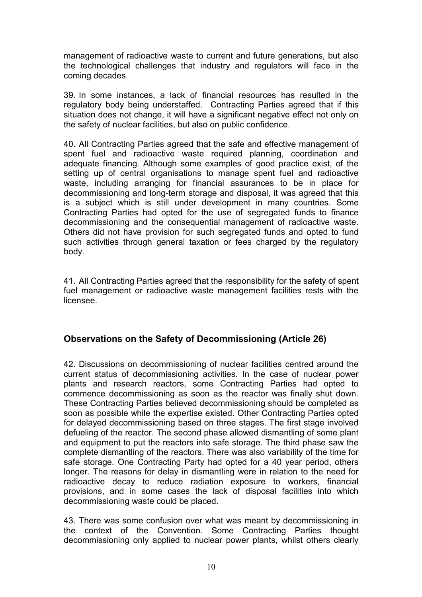management of radioactive waste to current and future generations, but also the technological challenges that industry and regulators will face in the coming decades.

39. In some instances, a lack of financial resources has resulted in the regulatory body being understaffed. Contracting Parties agreed that if this situation does not change, it will have a significant negative effect not only on the safety of nuclear facilities, but also on public confidence.

40. All Contracting Parties agreed that the safe and effective management of spent fuel and radioactive waste required planning, coordination and adequate financing. Although some examples of good practice exist, of the setting up of central organisations to manage spent fuel and radioactive waste, including arranging for financial assurances to be in place for decommissioning and long-term storage and disposal, it was agreed that this is a subject which is still under development in many countries. Some Contracting Parties had opted for the use of segregated funds to finance decommissioning and the consequential management of radioactive waste. Others did not have provision for such segregated funds and opted to fund such activities through general taxation or fees charged by the regulatory body.

41. All Contracting Parties agreed that the responsibility for the safety of spent fuel management or radioactive waste management facilities rests with the licensee.

# **Observations on the Safety of Decommissioning (Article 26)**

42. Discussions on decommissioning of nuclear facilities centred around the current status of decommissioning activities. In the case of nuclear power plants and research reactors, some Contracting Parties had opted to commence decommissioning as soon as the reactor was finally shut down. These Contracting Parties believed decommissioning should be completed as soon as possible while the expertise existed. Other Contracting Parties opted for delayed decommissioning based on three stages. The first stage involved defueling of the reactor. The second phase allowed dismantling of some plant and equipment to put the reactors into safe storage. The third phase saw the complete dismantling of the reactors. There was also variability of the time for safe storage. One Contracting Party had opted for a 40 year period, others longer. The reasons for delay in dismantling were in relation to the need for radioactive decay to reduce radiation exposure to workers, financial provisions, and in some cases the lack of disposal facilities into which decommissioning waste could be placed.

43. There was some confusion over what was meant by decommissioning in the context of the Convention. Some Contracting Parties thought decommissioning only applied to nuclear power plants, whilst others clearly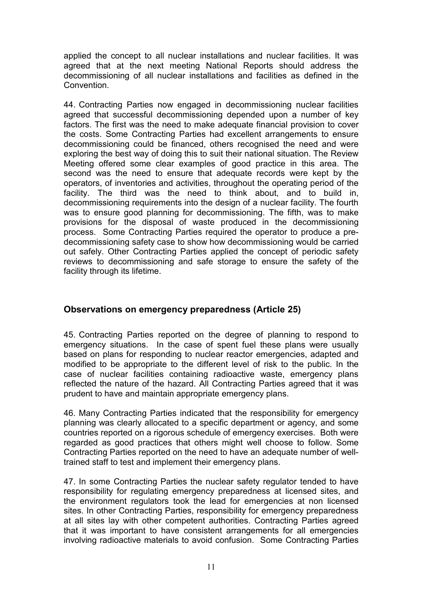applied the concept to all nuclear installations and nuclear facilities. It was agreed that at the next meeting National Reports should address the decommissioning of all nuclear installations and facilities as defined in the Convention.

44. Contracting Parties now engaged in decommissioning nuclear facilities agreed that successful decommissioning depended upon a number of key factors. The first was the need to make adequate financial provision to cover the costs. Some Contracting Parties had excellent arrangements to ensure decommissioning could be financed, others recognised the need and were exploring the best way of doing this to suit their national situation. The Review Meeting offered some clear examples of good practice in this area. The second was the need to ensure that adequate records were kept by the operators, of inventories and activities, throughout the operating period of the facility. The third was the need to think about, and to build in, decommissioning requirements into the design of a nuclear facility. The fourth was to ensure good planning for decommissioning. The fifth, was to make provisions for the disposal of waste produced in the decommissioning process. Some Contracting Parties required the operator to produce a predecommissioning safety case to show how decommissioning would be carried out safely. Other Contracting Parties applied the concept of periodic safety reviews to decommissioning and safe storage to ensure the safety of the facility through its lifetime.

## **Observations on emergency preparedness (Article 25)**

45. Contracting Parties reported on the degree of planning to respond to emergency situations. In the case of spent fuel these plans were usually based on plans for responding to nuclear reactor emergencies, adapted and modified to be appropriate to the different level of risk to the public. In the case of nuclear facilities containing radioactive waste, emergency plans reflected the nature of the hazard. All Contracting Parties agreed that it was prudent to have and maintain appropriate emergency plans.

46. Many Contracting Parties indicated that the responsibility for emergency planning was clearly allocated to a specific department or agency, and some countries reported on a rigorous schedule of emergency exercises. Both were regarded as good practices that others might well choose to follow. Some Contracting Parties reported on the need to have an adequate number of welltrained staff to test and implement their emergency plans.

47. In some Contracting Parties the nuclear safety regulator tended to have responsibility for regulating emergency preparedness at licensed sites, and the environment regulators took the lead for emergencies at non licensed sites. In other Contracting Parties, responsibility for emergency preparedness at all sites lay with other competent authorities. Contracting Parties agreed that it was important to have consistent arrangements for all emergencies involving radioactive materials to avoid confusion. Some Contracting Parties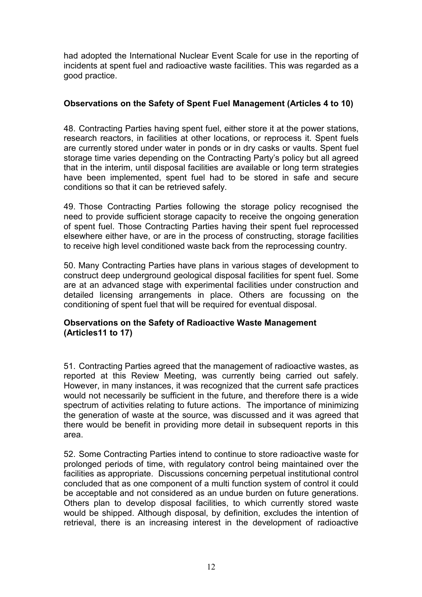had adopted the International Nuclear Event Scale for use in the reporting of incidents at spent fuel and radioactive waste facilities. This was regarded as a good practice.

### **Observations on the Safety of Spent Fuel Management (Articles 4 to 10)**

48. Contracting Parties having spent fuel, either store it at the power stations, research reactors, in facilities at other locations, or reprocess it. Spent fuels are currently stored under water in ponds or in dry casks or vaults. Spent fuel storage time varies depending on the Contracting Party's policy but all agreed that in the interim, until disposal facilities are available or long term strategies have been implemented, spent fuel had to be stored in safe and secure conditions so that it can be retrieved safely.

49. Those Contracting Parties following the storage policy recognised the need to provide sufficient storage capacity to receive the ongoing generation of spent fuel. Those Contracting Parties having their spent fuel reprocessed elsewhere either have, or are in the process of constructing, storage facilities to receive high level conditioned waste back from the reprocessing country.

50. Many Contracting Parties have plans in various stages of development to construct deep underground geological disposal facilities for spent fuel. Some are at an advanced stage with experimental facilities under construction and detailed licensing arrangements in place. Others are focussing on the conditioning of spent fuel that will be required for eventual disposal.

### **Observations on the Safety of Radioactive Waste Management (Articles11 to 17)**

51. Contracting Parties agreed that the management of radioactive wastes, as reported at this Review Meeting, was currently being carried out safely. However, in many instances, it was recognized that the current safe practices would not necessarily be sufficient in the future, and therefore there is a wide spectrum of activities relating to future actions. The importance of minimizing the generation of waste at the source, was discussed and it was agreed that there would be benefit in providing more detail in subsequent reports in this area.

52. Some Contracting Parties intend to continue to store radioactive waste for prolonged periods of time, with regulatory control being maintained over the facilities as appropriate. Discussions concerning perpetual institutional control concluded that as one component of a multi function system of control it could be acceptable and not considered as an undue burden on future generations. Others plan to develop disposal facilities, to which currently stored waste would be shipped. Although disposal, by definition, excludes the intention of retrieval, there is an increasing interest in the development of radioactive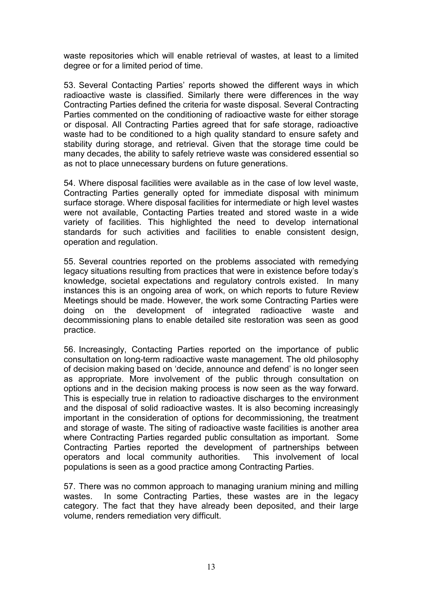waste repositories which will enable retrieval of wastes, at least to a limited degree or for a limited period of time.

53. Several Contacting Parties' reports showed the different ways in which radioactive waste is classified. Similarly there were differences in the way Contracting Parties defined the criteria for waste disposal. Several Contracting Parties commented on the conditioning of radioactive waste for either storage or disposal. All Contracting Parties agreed that for safe storage, radioactive waste had to be conditioned to a high quality standard to ensure safety and stability during storage, and retrieval. Given that the storage time could be many decades, the ability to safely retrieve waste was considered essential so as not to place unnecessary burdens on future generations.

54. Where disposal facilities were available as in the case of low level waste, Contracting Parties generally opted for immediate disposal with minimum surface storage. Where disposal facilities for intermediate or high level wastes were not available, Contacting Parties treated and stored waste in a wide variety of facilities. This highlighted the need to develop international standards for such activities and facilities to enable consistent design, operation and regulation.

55. Several countries reported on the problems associated with remedying legacy situations resulting from practices that were in existence before today's knowledge, societal expectations and regulatory controls existed. In many instances this is an ongoing area of work, on which reports to future Review Meetings should be made. However, the work some Contracting Parties were doing on the development of integrated radioactive waste and decommissioning plans to enable detailed site restoration was seen as good practice.

56. Increasingly, Contacting Parties reported on the importance of public consultation on long-term radioactive waste management. The old philosophy of decision making based on 'decide, announce and defend' is no longer seen as appropriate. More involvement of the public through consultation on options and in the decision making process is now seen as the way forward. This is especially true in relation to radioactive discharges to the environment and the disposal of solid radioactive wastes. It is also becoming increasingly important in the consideration of options for decommissioning, the treatment and storage of waste. The siting of radioactive waste facilities is another area where Contracting Parties regarded public consultation as important. Some Contracting Parties reported the development of partnerships between operators and local community authorities. This involvement of local populations is seen as a good practice among Contracting Parties.

57. There was no common approach to managing uranium mining and milling wastes. In some Contracting Parties, these wastes are in the legacy category. The fact that they have already been deposited, and their large volume, renders remediation very difficult.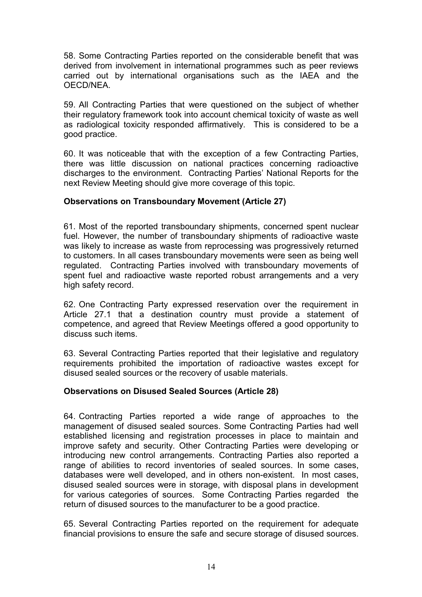58. Some Contracting Parties reported on the considerable benefit that was derived from involvement in international programmes such as peer reviews carried out by international organisations such as the IAEA and the OECD/NEA.

59. All Contracting Parties that were questioned on the subject of whether their regulatory framework took into account chemical toxicity of waste as well as radiological toxicity responded affirmatively. This is considered to be a good practice.

60. It was noticeable that with the exception of a few Contracting Parties, there was little discussion on national practices concerning radioactive discharges to the environment. Contracting Parties' National Reports for the next Review Meeting should give more coverage of this topic.

#### **Observations on Transboundary Movement (Article 27)**

61. Most of the reported transboundary shipments, concerned spent nuclear fuel. However, the number of transboundary shipments of radioactive waste was likely to increase as waste from reprocessing was progressively returned to customers. In all cases transboundary movements were seen as being well regulated. Contracting Parties involved with transboundary movements of spent fuel and radioactive waste reported robust arrangements and a very high safety record.

62. One Contracting Party expressed reservation over the requirement in Article 27.1 that a destination country must provide a statement of competence, and agreed that Review Meetings offered a good opportunity to discuss such items.

63. Several Contracting Parties reported that their legislative and regulatory requirements prohibited the importation of radioactive wastes except for disused sealed sources or the recovery of usable materials.

#### **Observations on Disused Sealed Sources (Article 28)**

64. Contracting Parties reported a wide range of approaches to the management of disused sealed sources. Some Contracting Parties had well established licensing and registration processes in place to maintain and improve safety and security. Other Contracting Parties were developing or introducing new control arrangements. Contracting Parties also reported a range of abilities to record inventories of sealed sources. In some cases, databases were well developed, and in others non-existent. In most cases, disused sealed sources were in storage, with disposal plans in development for various categories of sources. Some Contracting Parties regarded the return of disused sources to the manufacturer to be a good practice.

65. Several Contracting Parties reported on the requirement for adequate financial provisions to ensure the safe and secure storage of disused sources.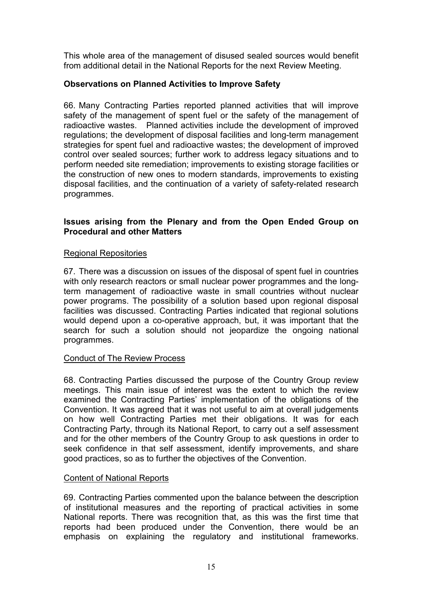This whole area of the management of disused sealed sources would benefit from additional detail in the National Reports for the next Review Meeting.

## **Observations on Planned Activities to Improve Safety**

66. Many Contracting Parties reported planned activities that will improve safety of the management of spent fuel or the safety of the management of radioactive wastes. Planned activities include the development of improved regulations; the development of disposal facilities and long-term management strategies for spent fuel and radioactive wastes; the development of improved control over sealed sources; further work to address legacy situations and to perform needed site remediation; improvements to existing storage facilities or the construction of new ones to modern standards, improvements to existing disposal facilities, and the continuation of a variety of safety-related research programmes.

#### **Issues arising from the Plenary and from the Open Ended Group on Procedural and other Matters**

#### Regional Repositories

67. There was a discussion on issues of the disposal of spent fuel in countries with only research reactors or small nuclear power programmes and the longterm management of radioactive waste in small countries without nuclear power programs. The possibility of a solution based upon regional disposal facilities was discussed. Contracting Parties indicated that regional solutions would depend upon a co-operative approach, but, it was important that the search for such a solution should not jeopardize the ongoing national programmes.

#### Conduct of The Review Process

68. Contracting Parties discussed the purpose of the Country Group review meetings. This main issue of interest was the extent to which the review examined the Contracting Parties' implementation of the obligations of the Convention. It was agreed that it was not useful to aim at overall judgements on how well Contracting Parties met their obligations. It was for each Contracting Party, through its National Report, to carry out a self assessment and for the other members of the Country Group to ask questions in order to seek confidence in that self assessment, identify improvements, and share good practices, so as to further the objectives of the Convention.

#### Content of National Reports

69. Contracting Parties commented upon the balance between the description of institutional measures and the reporting of practical activities in some National reports. There was recognition that, as this was the first time that reports had been produced under the Convention, there would be an emphasis on explaining the regulatory and institutional frameworks.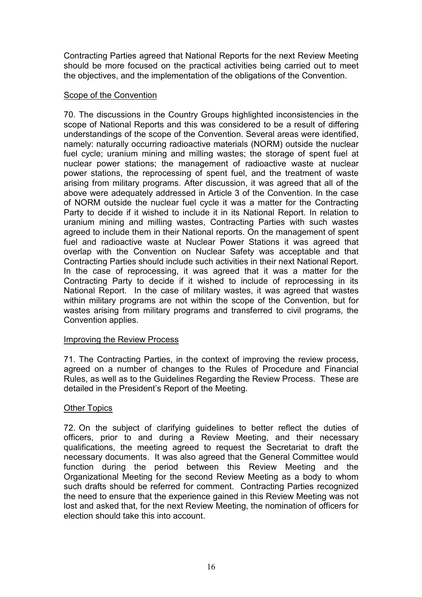Contracting Parties agreed that National Reports for the next Review Meeting should be more focused on the practical activities being carried out to meet the objectives, and the implementation of the obligations of the Convention.

#### Scope of the Convention

70. The discussions in the Country Groups highlighted inconsistencies in the scope of National Reports and this was considered to be a result of differing understandings of the scope of the Convention. Several areas were identified, namely: naturally occurring radioactive materials (NORM) outside the nuclear fuel cycle; uranium mining and milling wastes; the storage of spent fuel at nuclear power stations; the management of radioactive waste at nuclear power stations, the reprocessing of spent fuel, and the treatment of waste arising from military programs. After discussion, it was agreed that all of the above were adequately addressed in Article 3 of the Convention. In the case of NORM outside the nuclear fuel cycle it was a matter for the Contracting Party to decide if it wished to include it in its National Report. In relation to uranium mining and milling wastes, Contracting Parties with such wastes agreed to include them in their National reports. On the management of spent fuel and radioactive waste at Nuclear Power Stations it was agreed that overlap with the Convention on Nuclear Safety was acceptable and that Contracting Parties should include such activities in their next National Report. In the case of reprocessing, it was agreed that it was a matter for the Contracting Party to decide if it wished to include of reprocessing in its National Report. In the case of military wastes, it was agreed that wastes within military programs are not within the scope of the Convention, but for wastes arising from military programs and transferred to civil programs, the Convention applies.

#### Improving the Review Process

71. The Contracting Parties, in the context of improving the review process, agreed on a number of changes to the Rules of Procedure and Financial Rules, as well as to the Guidelines Regarding the Review Process. These are detailed in the President's Report of the Meeting.

## Other Topics

72. On the subject of clarifying guidelines to better reflect the duties of officers, prior to and during a Review Meeting, and their necessary qualifications, the meeting agreed to request the Secretariat to draft the necessary documents. It was also agreed that the General Committee would function during the period between this Review Meeting and the Organizational Meeting for the second Review Meeting as a body to whom such drafts should be referred for comment. Contracting Parties recognized the need to ensure that the experience gained in this Review Meeting was not lost and asked that, for the next Review Meeting, the nomination of officers for election should take this into account.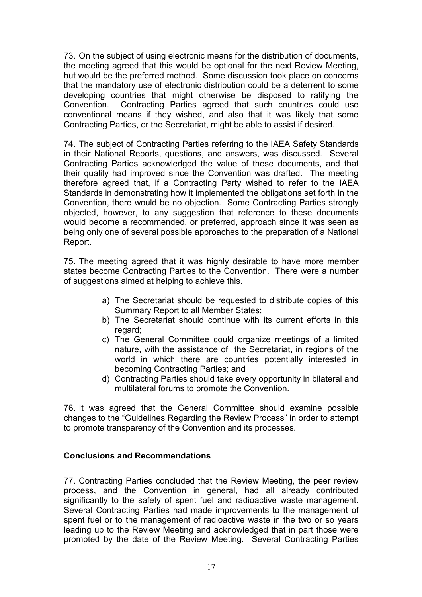73. On the subject of using electronic means for the distribution of documents, the meeting agreed that this would be optional for the next Review Meeting, but would be the preferred method. Some discussion took place on concerns that the mandatory use of electronic distribution could be a deterrent to some developing countries that might otherwise be disposed to ratifying the Convention. Contracting Parties agreed that such countries could use conventional means if they wished, and also that it was likely that some Contracting Parties, or the Secretariat, might be able to assist if desired.

74. The subject of Contracting Parties referring to the IAEA Safety Standards in their National Reports, questions, and answers, was discussed. Several Contracting Parties acknowledged the value of these documents, and that their quality had improved since the Convention was drafted. The meeting therefore agreed that, if a Contracting Party wished to refer to the IAEA Standards in demonstrating how it implemented the obligations set forth in the Convention, there would be no objection. Some Contracting Parties strongly objected, however, to any suggestion that reference to these documents would become a recommended, or preferred, approach since it was seen as being only one of several possible approaches to the preparation of a National Report.

75. The meeting agreed that it was highly desirable to have more member states become Contracting Parties to the Convention. There were a number of suggestions aimed at helping to achieve this.

- a) The Secretariat should be requested to distribute copies of this Summary Report to all Member States;
- b) The Secretariat should continue with its current efforts in this regard;
- c) The General Committee could organize meetings of a limited nature, with the assistance of the Secretariat, in regions of the world in which there are countries potentially interested in becoming Contracting Parties; and
- d) Contracting Parties should take every opportunity in bilateral and multilateral forums to promote the Convention.

76. It was agreed that the General Committee should examine possible changes to the "Guidelines Regarding the Review Process" in order to attempt to promote transparency of the Convention and its processes.

#### **Conclusions and Recommendations**

77. Contracting Parties concluded that the Review Meeting, the peer review process, and the Convention in general, had all already contributed significantly to the safety of spent fuel and radioactive waste management. Several Contracting Parties had made improvements to the management of spent fuel or to the management of radioactive waste in the two or so years leading up to the Review Meeting and acknowledged that in part those were prompted by the date of the Review Meeting. Several Contracting Parties